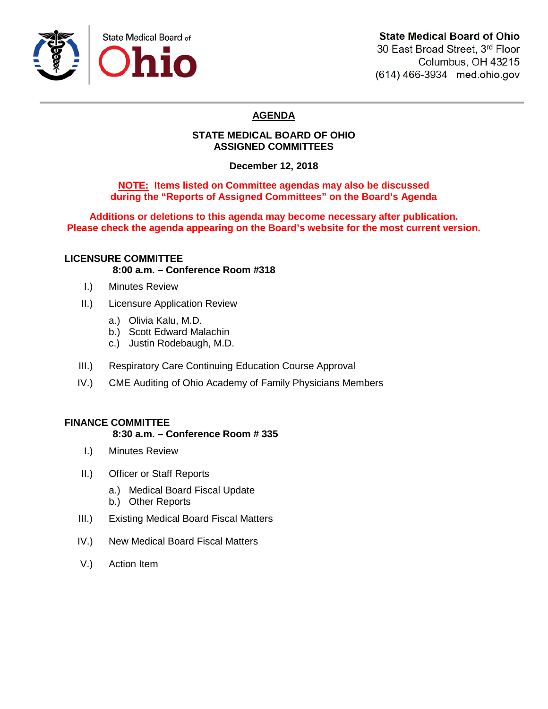

# **State Medical Board of Ohio**

30 East Broad Street, 3rd Floor Columbus, OH 43215 (614) 466-3934 med.ohio.gov

# **AGENDA**

## **STATE MEDICAL BOARD OF OHIO ASSIGNED COMMITTEES**

**December 12, 2018**

## **NOTE: Items listed on Committee agendas may also be discussed during the "Reports of Assigned Committees" on the Board's Agenda**

**Additions or deletions to this agenda may become necessary after publication. Please check the agenda appearing on the Board's website for the most current version.**

### **LICENSURE COMMITTEE 8:00 a.m. – Conference Room #318**

- I.) Minutes Review
- II.) Licensure Application Review
	- a.) Olivia Kalu, M.D.
	- b.) Scott Edward Malachin
	- c.) Justin Rodebaugh, M.D.
- III.) Respiratory Care Continuing Education Course Approval
- IV.) CME Auditing of Ohio Academy of Family Physicians Members

## **FINANCE COMMITTEE**

#### **8:30 a.m. – Conference Room # 335**

- I.) Minutes Review
- II.) Officer or Staff Reports
	- a.) Medical Board Fiscal Update
	- b.) Other Reports
- III.) Existing Medical Board Fiscal Matters
- IV.) New Medical Board Fiscal Matters
- V.) Action Item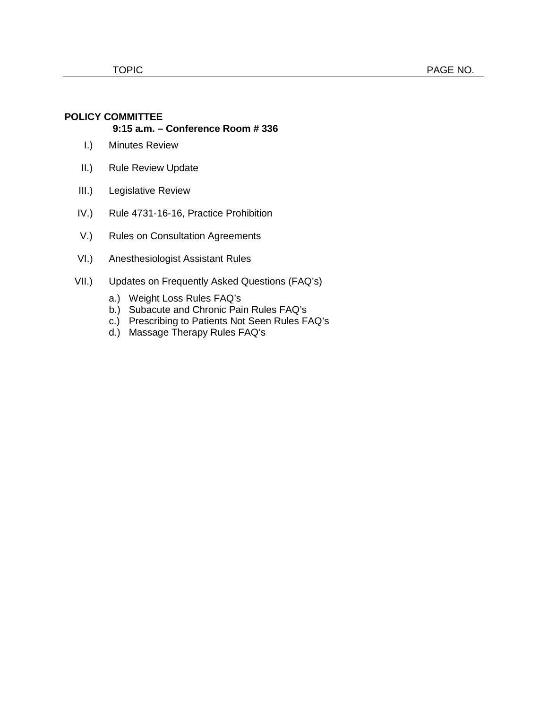# **POLICY COMMITTEE**

## **9:15 a.m. – Conference Room # 336**

- I.) Minutes Review
- II.) Rule Review Update
- III.) Legislative Review
- IV.) Rule 4731-16-16, Practice Prohibition
- V.) Rules on Consultation Agreements
- VI.) Anesthesiologist Assistant Rules
- VII.) Updates on Frequently Asked Questions (FAQ's)
	- a.) Weight Loss Rules FAQ's
	- b.) Subacute and Chronic Pain Rules FAQ's
	- c.) Prescribing to Patients Not Seen Rules FAQ's
	- d.) Massage Therapy Rules FAQ's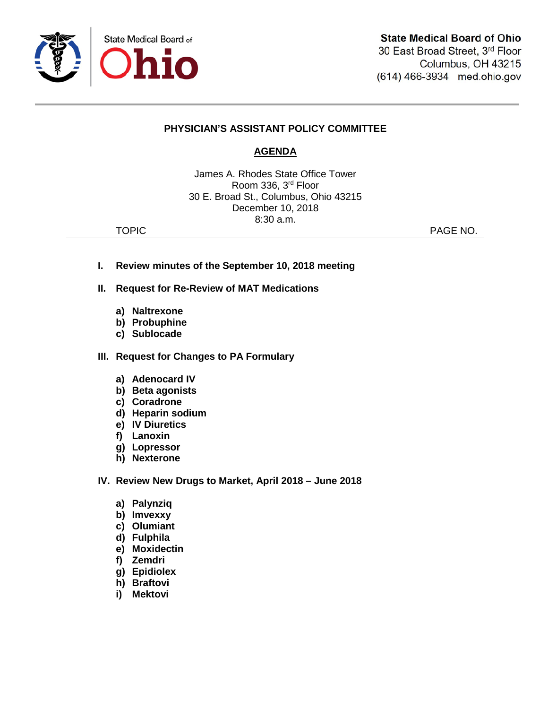

## **PHYSICIAN'S ASSISTANT POLICY COMMITTEE**

# **AGENDA**

James A. Rhodes State Office Tower Room 336, 3rd Floor 30 E. Broad St., Columbus, Ohio 43215 December 10, 2018 8:30 a.m.

TOPIC **PAGE NO.** 

- **I. Review minutes of the September 10, 2018 meeting**
- **II. Request for Re-Review of MAT Medications**
	- **a) Naltrexone**
	- **b) Probuphine**
	- **c) Sublocade**
- **III. Request for Changes to PA Formulary**
	- **a) Adenocard IV**
	- **b) Beta agonists**
	- **c) Coradrone**
	- **d) Heparin sodium**
	- **e) IV Diuretics**
	- **f) Lanoxin**
	- **g) Lopressor**
	- **h) Nexterone**
- **IV. Review New Drugs to Market, April 2018 – June 2018**
	- **a) Palynziq**
	- **b) Imvexxy**
	- **c) Olumiant**
	- **d) Fulphila**
	- **e) Moxidectin**
	- **f) Zemdri**
	- **g) Epidiolex**
	- **h) Braftovi**
	- **i) Mektovi**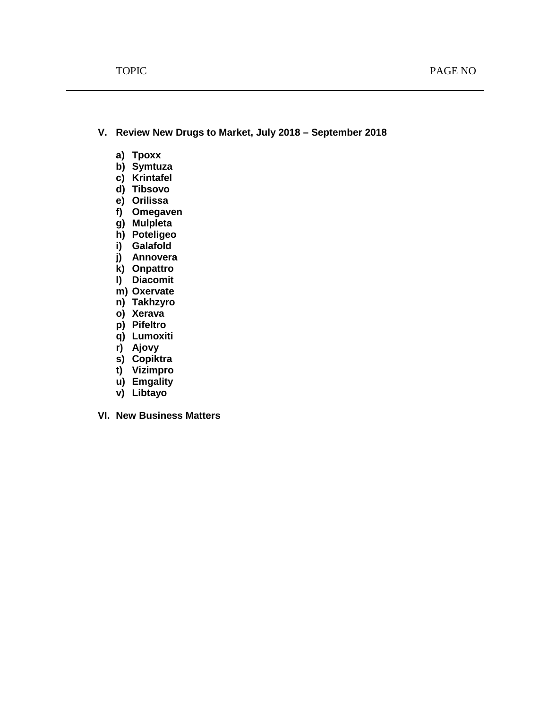**V. Review New Drugs to Market, July 2018 – September 2018**

- **a) Tpoxx**
- **b) Symtuza**
- **c) Krintafel**
- **d) Tibsovo**
- **e) Orilissa**
- **f) Omegaven**
- **g) Mulpleta**
- **h) Poteligeo**
- **i) Galafold**
- **j) Annovera**
- **k) Onpattro**
- **l) Diacomit**
- **m) Oxervate**
- **n) Takhzyro**
- **o) Xerava**
- **p) Pifeltro**
- **q) Lumoxiti**
- **r) Ajovy**
- **s) Copiktra**
- **t) Vizimpro**
- **u) Emgality**
- **v) Libtayo**
- **VI. New Business Matters**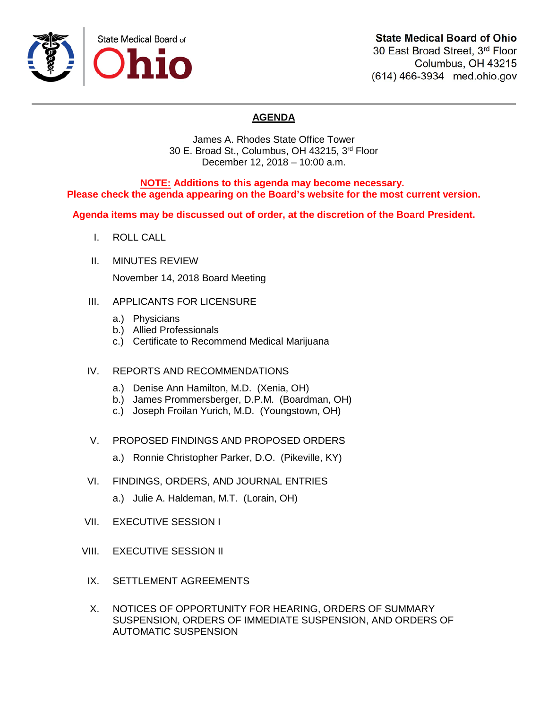

# **State Medical Board of Ohio**

30 East Broad Street, 3rd Floor Columbus, OH 43215 (614) 466-3934 med.ohio.gov

# **AGENDA**

James A. Rhodes State Office Tower 30 E. Broad St., Columbus, OH 43215, 3rd Floor December 12, 2018 – 10:00 a.m.

**NOTE: Additions to this agenda may become necessary. Please check the agenda appearing on the Board's website for the most current version.**

**Agenda items may be discussed out of order, at the discretion of the Board President.**

- I. ROLL CALL
- II. MINUTES REVIEW

November 14, 2018 Board Meeting

- III. APPLICANTS FOR LICENSURE
	- a.) Physicians
	- b.) Allied Professionals
	- c.) Certificate to Recommend Medical Marijuana
- IV. REPORTS AND RECOMMENDATIONS
	- a.) Denise Ann Hamilton, M.D. (Xenia, OH)
	- b.) James Prommersberger, D.P.M. (Boardman, OH)
	- c.) Joseph Froilan Yurich, M.D. (Youngstown, OH)
- V. PROPOSED FINDINGS AND PROPOSED ORDERS
	- a.) Ronnie Christopher Parker, D.O. (Pikeville, KY)
- VI. FINDINGS, ORDERS, AND JOURNAL ENTRIES
	- a.) Julie A. Haldeman, M.T. (Lorain, OH)
- VII. EXECUTIVE SESSION I
- VIII. EXECUTIVE SESSION II
- IX. SETTLEMENT AGREEMENTS
- X. NOTICES OF OPPORTUNITY FOR HEARING, ORDERS OF SUMMARY SUSPENSION, ORDERS OF IMMEDIATE SUSPENSION, AND ORDERS OF AUTOMATIC SUSPENSION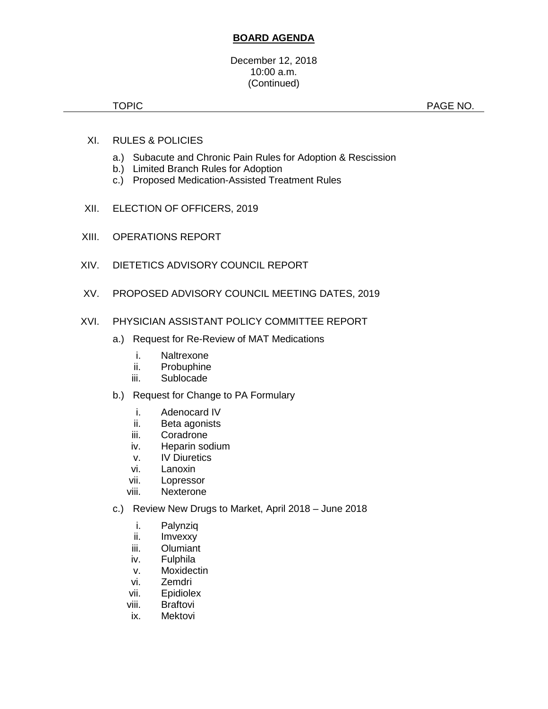#### December 12, 2018 10:00 a.m. (Continued)

TOPIC **Example 2012 12:20 PAGE NO.** PAGE NO.

- XI. RULES & POLICIES
	- a.) Subacute and Chronic Pain Rules for Adoption & Rescission
	- b.) Limited Branch Rules for Adoption
	- c.) Proposed Medication-Assisted Treatment Rules
- XII. ELECTION OF OFFICERS, 2019
- XIII. OPERATIONS REPORT
- XIV. DIETETICS ADVISORY COUNCIL REPORT
- XV. PROPOSED ADVISORY COUNCIL MEETING DATES, 2019

### XVI. PHYSICIAN ASSISTANT POLICY COMMITTEE REPORT

- a.) Request for Re-Review of MAT Medications
	- i. Naltrexone
	- ii. Probuphine
	- iii. Sublocade
- b.) Request for Change to PA Formulary
	- i. Adenocard IV
	- ii. Beta agonists
	- iii. Coradrone
	- iv. Heparin sodium
	- v. IV Diuretics
	- vi. Lanoxin
	- vii. Lopressor
	- viii. Nexterone
- c.) Review New Drugs to Market, April 2018 June 2018
	- i. Palynziq
	- ii. Imvexxy
	- iii. Olumiant
	- iv. Fulphila
	- v. Moxidectin
	- vi. Zemdri
	- vii. Epidiolex
	- viii. Braftovi
	- ix. Mektovi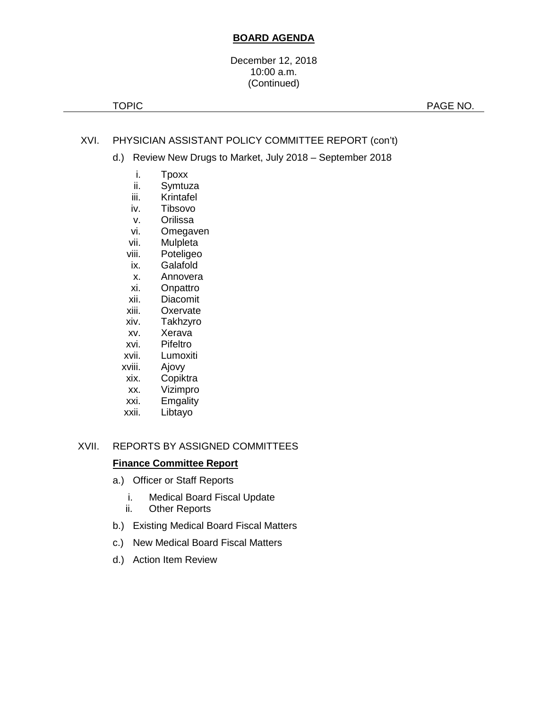#### December 12, 2018 10:00 a.m. (Continued)

TOPIC **PAGE NO.** 

## XVI. PHYSICIAN ASSISTANT POLICY COMMITTEE REPORT (con't)

- d.) Review New Drugs to Market, July 2018 September 2018
	- i. Tpoxx
	- ii. Symtuza
	- iii. Krintafel
	- iv. Tibsovo
	- v. Orilissa<br>vi. Omegav
		- Omegaven
	- vii. Mulpleta
	- viii. Poteligeo
	- ix. Galafold
	- x. Annovera
	- xi. Onpattro
	- xii. Diacomit<br>xiii. Oxervate
	- Oxervate
	- xiv. Takhzyro
	- xv. Xerava
	- xvi. Pifeltro
	- xvii. Lumoxiti
	- xviii. Ajovy
	- xix. Copiktra
	- xx. Vizimpro
	- xxi. Emgality
	- xxii. Libtayo

## XVII. REPORTS BY ASSIGNED COMMITTEES

#### **Finance Committee Report**

- a.) Officer or Staff Reports
	- i. Medical Board Fiscal Update
	- ii. Other Reports
- b.) Existing Medical Board Fiscal Matters
- c.) New Medical Board Fiscal Matters
- d.) Action Item Review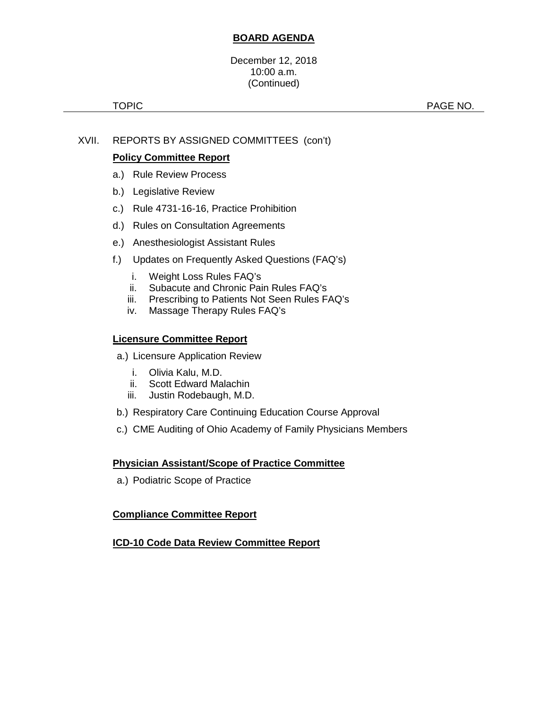December 12, 2018 10:00 a.m. (Continued)

TOPIC **PAGE NO.** 

## XVII. REPORTS BY ASSIGNED COMMITTEES (con't)

## **Policy Committee Report**

- a.) Rule Review Process
- b.) Legislative Review
- c.) Rule 4731-16-16, Practice Prohibition
- d.) Rules on Consultation Agreements
- e.) Anesthesiologist Assistant Rules
- f.) Updates on Frequently Asked Questions (FAQ's)
	- i. Weight Loss Rules FAQ's
	- ii. Subacute and Chronic Pain Rules FAQ's
	- iii. Prescribing to Patients Not Seen Rules FAQ's
	- iv. Massage Therapy Rules FAQ's

## **Licensure Committee Report**

- a.) Licensure Application Review
	- i. Olivia Kalu, M.D.
	- ii. Scott Edward Malachin
	- iii. Justin Rodebaugh, M.D.
- b.) Respiratory Care Continuing Education Course Approval
- c.) CME Auditing of Ohio Academy of Family Physicians Members

#### **Physician Assistant/Scope of Practice Committee**

a.) Podiatric Scope of Practice

## **Compliance Committee Report**

## **ICD-10 Code Data Review Committee Report**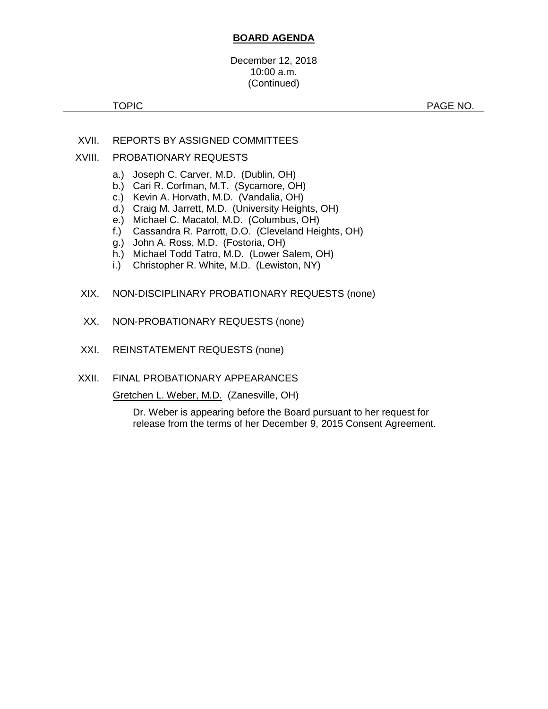#### December 12, 2018 10:00 a.m. (Continued)

TOPIC **Example 2012 12:20 PAGE NO.** PAGE NO.

- XVII. REPORTS BY ASSIGNED COMMITTEES
- XVIII. PROBATIONARY REQUESTS
	- a.) Joseph C. Carver, M.D. (Dublin, OH)
	- b.) Cari R. Corfman, M.T. (Sycamore, OH)
	- c.) Kevin A. Horvath, M.D. (Vandalia, OH)
	- d.) Craig M. Jarrett, M.D. (University Heights, OH)
	- e.) Michael C. Macatol, M.D. (Columbus, OH)
	- f.) Cassandra R. Parrott, D.O. (Cleveland Heights, OH)
	- g.) John A. Ross, M.D. (Fostoria, OH)
	- h.) Michael Todd Tatro, M.D. (Lower Salem, OH)
	- i.) Christopher R. White, M.D. (Lewiston, NY)
	- XIX. NON-DISCIPLINARY PROBATIONARY REQUESTS (none)
	- XX. NON-PROBATIONARY REQUESTS (none)
- XXI. REINSTATEMENT REQUESTS (none)
- XXII. FINAL PROBATIONARY APPEARANCES

Gretchen L. Weber, M.D. (Zanesville, OH)

Dr. Weber is appearing before the Board pursuant to her request for release from the terms of her December 9, 2015 Consent Agreement.